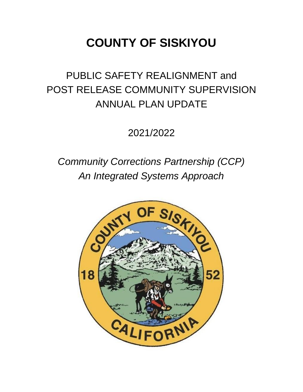# **COUNTY OF SISKIYOU**

## PUBLIC SAFETY REALIGNMENT and POST RELEASE COMMUNITY SUPERVISION ANNUAL PLAN UPDATE

2021/2022

## *Community Corrections Partnership (CCP) An Integrated Systems Approach*

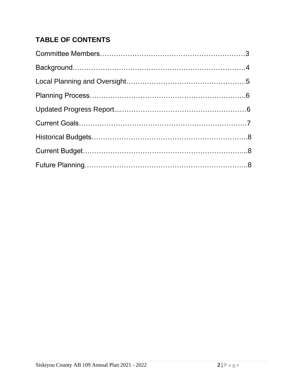## **TABLE OF CONTENTS**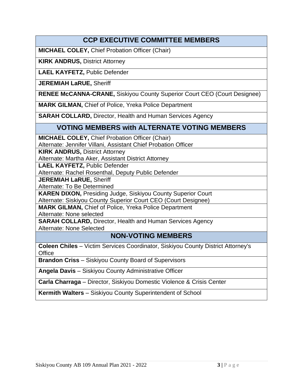## **CCP EXECUTIVE COMMITTEE MEMBERS**

**MICHAEL COLEY,** Chief Probation Officer (Chair)

**KIRK ANDRUS,** District Attorney

**LAEL KAYFETZ,** Public Defender

**JEREMIAH LaRUE,** Sheriff

**RENEE McCANNA-CRANE,** Siskiyou County Superior Court CEO (Court Designee)

**MARK GILMAN,** Chief of Police, Yreka Police Department

**SARAH COLLARD,** Director, Health and Human Services Agency

#### **VOTING MEMBERS with ALTERNATE VOTING MEMBERS**

**MICHAEL COLEY,** Chief Probation Officer (Chair)

Alternate: Jennifer Villani, Assistant Chief Probation Officer

**KIRK ANDRUS, District Attorney** 

Alternate: Martha Aker, Assistant District Attorney

**LAEL KAYFETZ,** Public Defender

Alternate: Rachel Rosenthal, Deputy Public Defender

**JEREMIAH LaRUE,** Sheriff

Alternate: To Be Determined

**KAREN DIXON,** Presiding Judge, Siskiyou County Superior Court

Alternate: Siskiyou County Superior Court CEO (Court Designee)

**MARK GILMAN,** Chief of Police, Yreka Police Department Alternate: None selected

**SARAH COLLARD,** Director, Health and Human Services Agency Alternate: None Selected

### **NON-VOTING MEMBERS**

**Coleen Chiles** – Victim Services Coordinator, Siskiyou County District Attorney's **Office** 

**Brandon Criss** – Siskiyou County Board of Supervisors

**Angela Davis** – Siskiyou County Administrative Officer

**Carla Charraga** – Director, Siskiyou Domestic Violence & Crisis Center

**Kermith Walters** – Siskiyou County Superintendent of School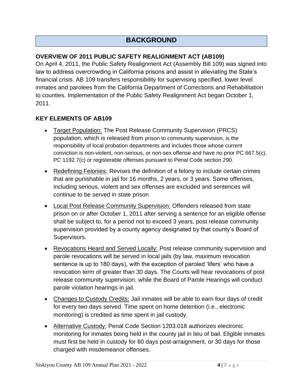## **BACKGROUND**

#### **OVERVIEW OF 2011 PUBLIC SAFETY REALIGNMENT ACT (AB109)**

On April 4, 2011, the Public Safety Realignment Act (Assembly Bill 109) was signed into law to address overcrowding in California prisons and assist in alleviating the State's financial crisis. AB 109 transfers responsibility for supervising specified, lower level inmates and parolees from the California Department of Corrections and Rehabilitation to counties. Implementation of the Public Safety Realignment Act began October 1, 2011.

#### **KEY ELEMENTS OF AB109**

- Target Population: The Post Release Community Supervision (PRCS) population, which is released from prison to community supervision, is the responsibility of local probation departments and includes those whose current conviction is non-violent, non-serious, or non-sex offense and have no prior PC 667.5(c), PC 1192.7(c) or registerable offenses pursuant to Penal Code section 290.
- Redefining Felonies: Revises the definition of a felony to include certain crimes that are punishable in jail for 16 months, 2 years, or 3 years. Some offenses, including serious, violent and sex offenses are excluded and sentences will continue to be served in state prison
- Local Post Release Community Supervision: Offenders released from state prison on or after October 1, 2011 after serving a sentence for an eligible offense shall be subject to, for a period not to exceed 3 years, post release community supervision provided by a county agency designated by that county's Board of Supervisors.
- Revocations Heard and Served Locally: Post release community supervision and parole revocations will be served in local jails (by law, maximum revocation sentence is up to 180 days), with the exception of paroled 'lifers' who have a revocation term of greater than 30 days. The Courts will hear revocations of post release community supervision, while the Board of Parole Hearings will conduct parole violation hearings in jail.
- Changes to Custody Credits: Jail inmates will be able to earn four days of credit for every two days served. Time spent on home detention (i.e., electronic monitoring) is credited as time spent in jail custody.
- Alternative Custody: Penal Code Section 1203.018 authorizes electronic monitoring for inmates being held in the county jail in lieu of bail. Eligible inmates must first be held in custody for 60 days post-arraignment, or 30 days for those charged with misdemeanor offenses.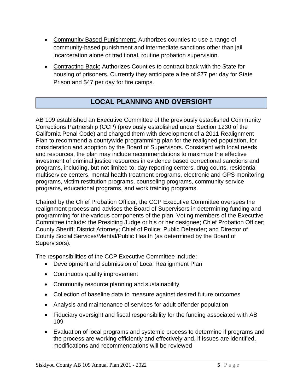- Community Based Punishment: Authorizes counties to use a range of community-based punishment and intermediate sanctions other than jail incarceration alone or traditional, routine probation supervision.
- Contracting Back: Authorizes Counties to contract back with the State for housing of prisoners. Currently they anticipate a fee of \$77 per day for State Prison and \$47 per day for fire camps.

## **LOCAL PLANNING AND OVERSIGHT**

AB 109 established an Executive Committee of the previously established Community Corrections Partnership (CCP) (previously established under Section 1230 of the California Penal Code) and charged them with development of a 2011 Realignment Plan to recommend a countywide programming plan for the realigned population, for consideration and adoption by the Board of Supervisors. Consistent with local needs and resources, the plan may include recommendations to maximize the effective investment of criminal justice resources in evidence based correctional sanctions and programs, including, but not limited to: day reporting centers, drug courts, residential multiservice centers, mental health treatment programs, electronic and GPS monitoring programs, victim restitution programs, counseling programs, community service programs, educational programs, and work training programs.

Chaired by the Chief Probation Officer, the CCP Executive Committee oversees the realignment process and advises the Board of Supervisors in determining funding and programming for the various components of the plan. Voting members of the Executive Committee include: the Presiding Judge or his or her designee; Chief Probation Officer; County Sheriff; District Attorney; Chief of Police; Public Defender; and Director of County Social Services/Mental/Public Health (as determined by the Board of Supervisors).

The responsibilities of the CCP Executive Committee include:

- Development and submission of Local Realignment Plan
- Continuous quality improvement
- Community resource planning and sustainability
- Collection of baseline data to measure against desired future outcomes
- Analysis and maintenance of services for adult offender population
- Fiduciary oversight and fiscal responsibility for the funding associated with AB 109
- Evaluation of local programs and systemic process to determine if programs and the process are working efficiently and effectively and, if issues are identified, modifications and recommendations will be reviewed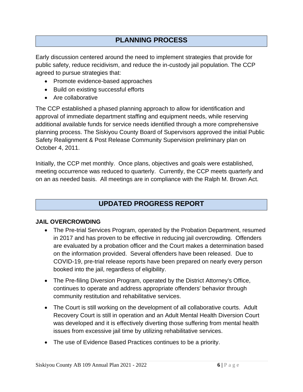## **PLANNING PROCESS**

Early discussion centered around the need to implement strategies that provide for public safety, reduce recidivism, and reduce the in-custody jail population. The CCP agreed to pursue strategies that:

- Promote evidence-based approaches
- Build on existing successful efforts
- Are collaborative

The CCP established a phased planning approach to allow for identification and approval of immediate department staffing and equipment needs, while reserving additional available funds for service needs identified through a more comprehensive planning process. The Siskiyou County Board of Supervisors approved the initial Public Safety Realignment & Post Release Community Supervision preliminary plan on October 4, 2011.

Initially, the CCP met monthly. Once plans, objectives and goals were established, meeting occurrence was reduced to quarterly. Currently, the CCP meets quarterly and on an as needed basis. All meetings are in compliance with the Ralph M. Brown Act.

### **UPDATED PROGRESS REPORT**

#### **JAIL OVERCROWDING**

- The Pre-trial Services Program, operated by the Probation Department, resumed in 2017 and has proven to be effective in reducing jail overcrowding. Offenders are evaluated by a probation officer and the Court makes a determination based on the information provided. Several offenders have been released. Due to COVID-19, pre-trial release reports have been prepared on nearly every person booked into the jail, regardless of eligibility.
- The Pre-filing Diversion Program, operated by the District Attorney's Office, continues to operate and address appropriate offenders' behavior through community restitution and rehabilitative services.
- The Court is still working on the development of all collaborative courts. Adult Recovery Court is still in operation and an Adult Mental Health Diversion Court was developed and it is effectively diverting those suffering from mental health issues from excessive jail time by utilizing rehabilitative services.
- The use of Evidence Based Practices continues to be a priority.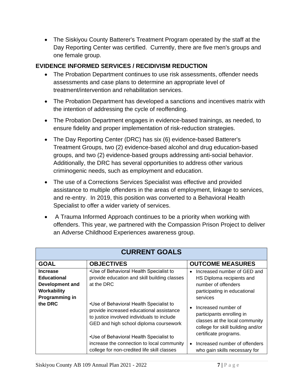• The Siskiyou County Batterer's Treatment Program operated by the staff at the Day Reporting Center was certified. Currently, there are five men's groups and one female group.

#### **EVIDENCE INFORMED SERVICES / RECIDIVISM REDUCTION**

- The Probation Department continues to use risk assessments, offender needs assessments and case plans to determine an appropriate level of treatment/intervention and rehabilitation services.
- The Probation Department has developed a sanctions and incentives matrix with the intention of addressing the cycle of reoffending.
- The Probation Department engages in evidence-based trainings, as needed, to ensure fidelity and proper implementation of risk-reduction strategies.
- The Day Reporting Center (DRC) has six (6) evidence-based Batterer's Treatment Groups, two (2) evidence-based alcohol and drug education-based groups, and two (2) evidence-based groups addressing anti-social behavior. Additionally, the DRC has several opportunities to address other various criminogenic needs, such as employment and education.
- The use of a Corrections Services Specialist was effective and provided assistance to multiple offenders in the areas of employment, linkage to services, and re-entry. In 2019, this position was converted to a Behavioral Health Specialist to offer a wider variety of services.
- A Trauma Informed Approach continues to be a priority when working with offenders. This year, we partnered with the Compassion Prison Project to deliver an Adverse Childhood Experiences awareness group.

| <b>CURRENT GOALS</b>                                                                      |                                                                                                                                                                                                                        |                                                                                                                                                  |  |  |  |  |  |
|-------------------------------------------------------------------------------------------|------------------------------------------------------------------------------------------------------------------------------------------------------------------------------------------------------------------------|--------------------------------------------------------------------------------------------------------------------------------------------------|--|--|--|--|--|
| <b>GOAL</b>                                                                               | <b>OBJECTIVES</b>                                                                                                                                                                                                      | <b>OUTCOME MEASURES</b>                                                                                                                          |  |  |  |  |  |
| <b>Increase</b><br><b>Educational</b><br>Development and<br>Workability<br>Programming in | •Use of Behavioral Health Specialist to<br>provide education and skill building classes<br>at the DRC                                                                                                                  | Increased number of GED and<br>HS Diploma recipients and<br>number of offenders<br>participating in educational<br>services                      |  |  |  |  |  |
| the DRC                                                                                   | •Use of Behavioral Health Specialist to<br>provide increased educational assistance<br>to justice involved individuals to include<br>GED and high school diploma coursework<br>•Use of Behavioral Health Specialist to | Increased number of<br>participants enrolling in<br>classes at the local community<br>college for skill building and/or<br>certificate programs. |  |  |  |  |  |
|                                                                                           | increase the connection to local community<br>college for non-credited life skill classes                                                                                                                              | Increased number of offenders<br>$\bullet$<br>who gain skills necessary for                                                                      |  |  |  |  |  |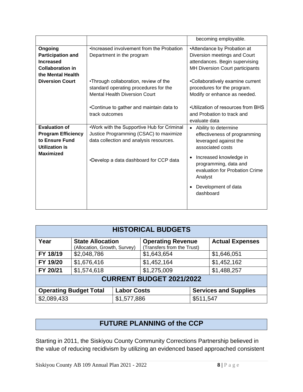|                                                                                                                  | becoming employable.                                                                                                            |                                                                                                                                  |  |  |
|------------------------------------------------------------------------------------------------------------------|---------------------------------------------------------------------------------------------------------------------------------|----------------------------------------------------------------------------------------------------------------------------------|--|--|
| Ongoing<br><b>Participation and</b><br><b>Increased</b><br><b>Collaboration in</b>                               | •Increased involvement from the Probation<br>Department in the program                                                          | •Attendance by Probation at<br>Diversion meetings and Court<br>attendances. Begin supervising<br>MH Diversion Court participants |  |  |
| the Mental Health<br><b>Diversion Court</b>                                                                      | •Through collaboration, review of the<br>standard operating procedures for the<br><b>Mental Health Diversion Court</b>          | •Collaboratively examine current<br>procedures for the program.<br>Modify or enhance as needed.                                  |  |  |
|                                                                                                                  | •Continue to gather and maintain data to<br>track outcomes                                                                      | •Utilization of resources from BHS<br>and Probation to track and<br>evaluate data                                                |  |  |
| <b>Evaluation of</b><br><b>Program Efficiency</b><br>to Ensure Fund<br><b>Utilization is</b><br><b>Maximized</b> | .Work with the Supportive Hub for Criminal<br>Justice Programming (CSAC) to maximize<br>data collection and analysis resources. | Ability to determine<br>$\bullet$<br>effectiveness of programming<br>leveraged against the<br>associated costs                   |  |  |
|                                                                                                                  | •Develop a data dashboard for CCP data                                                                                          | Increased knowledge in<br>programming, data and<br>evaluation for Probation Crime<br>Analyst                                     |  |  |
|                                                                                                                  |                                                                                                                                 | Development of data<br>dashboard                                                                                                 |  |  |

| <b>HISTORICAL BUDGETS</b>       |                                                         |             |                                                        |           |                        |  |
|---------------------------------|---------------------------------------------------------|-------------|--------------------------------------------------------|-----------|------------------------|--|
| Year                            | <b>State Allocation</b><br>(Allocation, Growth, Survey) |             | <b>Operating Revenue</b><br>(Transfers from the Trust) |           | <b>Actual Expenses</b> |  |
| FY 18/19                        | \$2,048,786                                             |             | \$1,643,654                                            |           | \$1,646,051            |  |
| FY 19/20                        | \$1,676,416                                             |             | \$1,452,164                                            |           | \$1,452,162            |  |
| FY 20/21                        | \$1,574,618                                             |             | \$1,275,009                                            |           | \$1,488,257            |  |
| <b>CURRENT BUDGET 2021/2022</b> |                                                         |             |                                                        |           |                        |  |
|                                 | <b>Operating Budget Total</b><br><b>Labor Costs</b>     |             | <b>Services and Supplies</b>                           |           |                        |  |
| \$2,089,433                     |                                                         | \$1,577,886 |                                                        | \$511,547 |                        |  |

## **FUTURE PLANNING of the CCP**

Starting in 2011, the Siskiyou County Community Corrections Partnership believed in the value of reducing recidivism by utilizing an evidenced based approached consistent